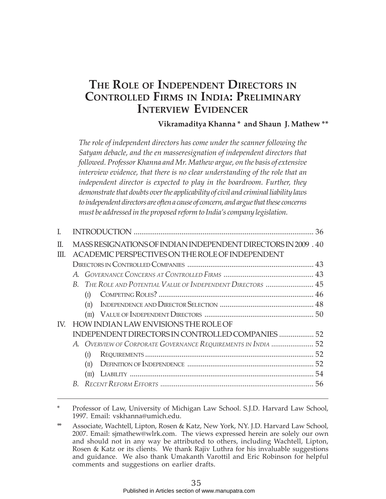# **THE ROLE OF INDEPENDENT DIRECTORS IN CONTROLLED FIRMS IN INDIA: PRELIMINARY INTERVIEW EVIDENCER**

## **Vikramaditya Khanna \* and Shaun J. Mathew \*\***

*The role of independent directors has come under the scanner following the Satyam debacle, and the en masseresignation of independent directors that followed. Professor Khanna and Mr. Mathew argue, on the basis of extensive interview evidence, that there is no clear understanding of the role that an independent director is expected to play in the boardroom. Further, they demonstrate that doubts over the applicability of civil and criminal liability laws to independent directors are often a cause of concern, and argue that these concerns must be addressed in the proposed reform to India's company legislation.*

| L        |                                                   |                |                                                                                                                    |  |  |
|----------|---------------------------------------------------|----------------|--------------------------------------------------------------------------------------------------------------------|--|--|
| Π.<br>Ш. |                                                   |                | MASS RESIGNATIONS OF INDIAN INDEPENDENT DIRECTORS IN 2009 . 40<br>ACADEMIC PERSPECTIVES ON THE ROLE OF INDEPENDENT |  |  |
|          |                                                   |                |                                                                                                                    |  |  |
|          |                                                   |                |                                                                                                                    |  |  |
|          |                                                   |                | B. THE ROLE AND POTENTIAL VALUE OF INDEPENDENT DIRECTORS  45                                                       |  |  |
|          |                                                   | (I)            |                                                                                                                    |  |  |
|          |                                                   | $(\text{II})$  |                                                                                                                    |  |  |
|          |                                                   |                |                                                                                                                    |  |  |
| IV.      |                                                   |                | HOW INDIAN LAW ENVISIONS THE ROLE OF                                                                               |  |  |
|          | INDEPENDENT DIRECTORS IN CONTROLLED COMPANIES  52 |                |                                                                                                                    |  |  |
|          |                                                   |                | A. OVERVIEW OF CORPORATE GOVERNANCE REQUIREMENTS IN INDIA  52                                                      |  |  |
|          |                                                   |                |                                                                                                                    |  |  |
|          |                                                   | $(\text{II})$  |                                                                                                                    |  |  |
|          |                                                   | $(\text{III})$ |                                                                                                                    |  |  |
|          |                                                   |                |                                                                                                                    |  |  |
|          |                                                   |                |                                                                                                                    |  |  |

Professor of Law, University of Michigan Law School. S.J.D. Harvard Law School, 1997. Email: vskhanna@umich.edu.

Associate, Wachtell, Lipton, Rosen & Katz, New York, NY. J.D. Harvard Law School, 2007. Email: sjmathew@wlrk.com. The views expressed herein are solely our own and should not in any way be attributed to others, including Wachtell, Lipton, Rosen & Katz or its clients. We thank Rajiv Luthra for his invaluable suggestions and guidance. We also thank Umakanth Varottil and Eric Robinson for helpful comments and suggestions on earlier drafts.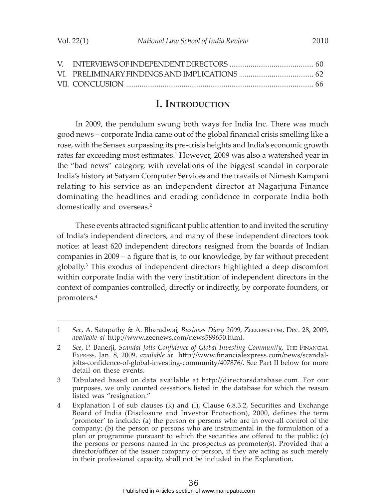## **I. INTRODUCTION**

In 2009, the pendulum swung both ways for India Inc. There was much good news – corporate India came out of the global financial crisis smelling like a rose, with the Sensex surpassing its pre-crisis heights and India's economic growth rates far exceeding most estimates.1 However, 2009 was also a watershed year in the "bad news" category, with revelations of the biggest scandal in corporate India's history at Satyam Computer Services and the travails of Nimesh Kampani relating to his service as an independent director at Nagarjuna Finance dominating the headlines and eroding confidence in corporate India both domestically and overseas.<sup>2</sup>

These events attracted significant public attention to and invited the scrutiny of India's independent directors, and many of these independent directors took notice: at least 620 independent directors resigned from the boards of Indian companies in 2009 – a figure that is, to our knowledge, by far without precedent globally.3 This exodus of independent directors highlighted a deep discomfort within corporate India with the very institution of independent directors in the context of companies controlled, directly or indirectly, by corporate founders, or promoters.4

<sup>1</sup> *See*, A. Satapathy & A. Bharadwaj, *Business Diary 2009*, ZEENEWS.COM, Dec. 28, 2009, *available at* http://www.zeenews.com/news589650.html.

<sup>2</sup> *See*, P. Banerji, *Scandal Jolts Confidence of Global Investing Community*, THE FINANCIAL EXPRESS, Jan. 8, 2009, *available at* http://www.financialexpress.com/news/scandaljolts-confidence-of-global-investing-community/407876/. See Part II below for more detail on these events.

<sup>3</sup> Tabulated based on data available at http://directorsdatabase.com. For our purposes, we only counted cessations listed in the database for which the reason listed was "resignation."

<sup>4</sup> Explanation I of sub clauses (k) and (l), Clause 6.8.3.2, Securities and Exchange Board of India (Disclosure and Investor Protection), 2000, defines the term 'promoter' to include: (a) the person or persons who are in over-all control of the company; (b) the person or persons who are instrumental in the formulation of a plan or programme pursuant to which the securities are offered to the public; (c) the persons or persons named in the prospectus as promoter(s). Provided that a director/officer of the issuer company or person, if they are acting as such merely in their professional capacity, shall not be included in the Explanation.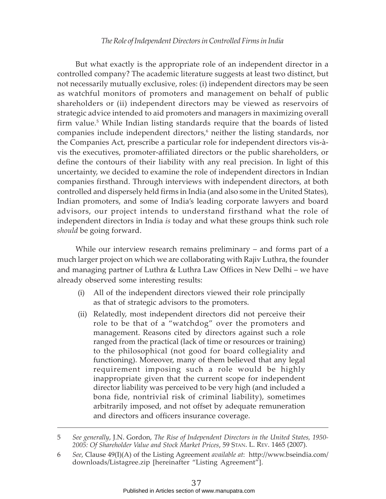But what exactly is the appropriate role of an independent director in a controlled company? The academic literature suggests at least two distinct, but not necessarily mutually exclusive, roles: (i) independent directors may be seen as watchful monitors of promoters and management on behalf of public shareholders or (ii) independent directors may be viewed as reservoirs of strategic advice intended to aid promoters and managers in maximizing overall firm value.<sup>5</sup> While Indian listing standards require that the boards of listed companies include independent directors,<sup>6</sup> neither the listing standards, nor the Companies Act, prescribe a particular role for independent directors vis-àvis the executives, promoter-affiliated directors or the public shareholders, or define the contours of their liability with any real precision. In light of this uncertainty, we decided to examine the role of independent directors in Indian companies firsthand. Through interviews with independent directors, at both controlled and dispersely held firms in India (and also some in the United States), Indian promoters, and some of India's leading corporate lawyers and board advisors, our project intends to understand firsthand what the role of independent directors in India *is* today and what these groups think such role *should* be going forward.

While our interview research remains preliminary – and forms part of a much larger project on which we are collaborating with Rajiv Luthra, the founder and managing partner of Luthra & Luthra Law Offices in New Delhi – we have already observed some interesting results:

- (i) All of the independent directors viewed their role principally as that of strategic advisors to the promoters.
- (ii) Relatedly, most independent directors did not perceive their role to be that of a "watchdog" over the promoters and management. Reasons cited by directors against such a role ranged from the practical (lack of time or resources or training) to the philosophical (not good for board collegiality and functioning). Moreover, many of them believed that any legal requirement imposing such a role would be highly inappropriate given that the current scope for independent director liability was perceived to be very high (and included a bona fide, nontrivial risk of criminal liability), sometimes arbitrarily imposed, and not offset by adequate remuneration and directors and officers insurance coverage.

<sup>5</sup> *See generally*, J.N. Gordon, *The Rise of Independent Directors in the United States, 1950- 2005: Of Shareholder Value and Stock Market Prices*, 59 STAN. L. REV. 1465 (2007).

<sup>6</sup> *See*, Clause 49(I)(A) of the Listing Agreement *available at*: http://www.bseindia.com/ downloads/Listagree.zip [hereinafter "Listing Agreement"].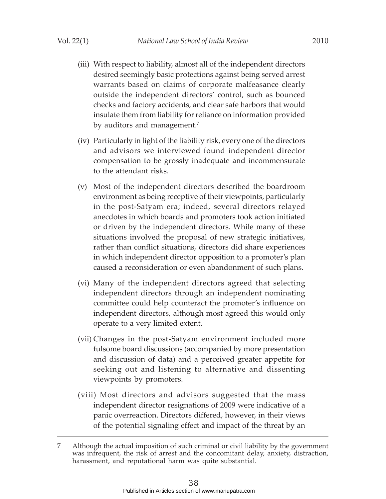- (iii) With respect to liability, almost all of the independent directors desired seemingly basic protections against being served arrest warrants based on claims of corporate malfeasance clearly outside the independent directors' control, such as bounced checks and factory accidents, and clear safe harbors that would insulate them from liability for reliance on information provided by auditors and management.<sup>7</sup>
- (iv) Particularly in light of the liability risk, every one of the directors and advisors we interviewed found independent director compensation to be grossly inadequate and incommensurate to the attendant risks.
- (v) Most of the independent directors described the boardroom environment as being receptive of their viewpoints, particularly in the post-Satyam era; indeed, several directors relayed anecdotes in which boards and promoters took action initiated or driven by the independent directors. While many of these situations involved the proposal of new strategic initiatives, rather than conflict situations, directors did share experiences in which independent director opposition to a promoter's plan caused a reconsideration or even abandonment of such plans.
- (vi) Many of the independent directors agreed that selecting independent directors through an independent nominating committee could help counteract the promoter's influence on independent directors, although most agreed this would only operate to a very limited extent.
- (vii) Changes in the post-Satyam environment included more fulsome board discussions (accompanied by more presentation and discussion of data) and a perceived greater appetite for seeking out and listening to alternative and dissenting viewpoints by promoters.
- (viii) Most directors and advisors suggested that the mass independent director resignations of 2009 were indicative of a panic overreaction. Directors differed, however, in their views of the potential signaling effect and impact of the threat by an

<sup>7</sup> Although the actual imposition of such criminal or civil liability by the government was infrequent, the risk of arrest and the concomitant delay, anxiety, distraction, harassment, and reputational harm was quite substantial.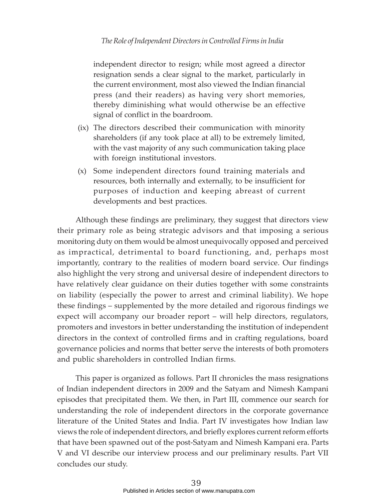independent director to resign; while most agreed a director resignation sends a clear signal to the market, particularly in the current environment, most also viewed the Indian financial press (and their readers) as having very short memories, thereby diminishing what would otherwise be an effective signal of conflict in the boardroom.

- (ix) The directors described their communication with minority shareholders (if any took place at all) to be extremely limited, with the vast majority of any such communication taking place with foreign institutional investors.
- (x) Some independent directors found training materials and resources, both internally and externally, to be insufficient for purposes of induction and keeping abreast of current developments and best practices.

Although these findings are preliminary, they suggest that directors view their primary role as being strategic advisors and that imposing a serious monitoring duty on them would be almost unequivocally opposed and perceived as impractical, detrimental to board functioning, and, perhaps most importantly, contrary to the realities of modern board service. Our findings also highlight the very strong and universal desire of independent directors to have relatively clear guidance on their duties together with some constraints on liability (especially the power to arrest and criminal liability). We hope these findings – supplemented by the more detailed and rigorous findings we expect will accompany our broader report – will help directors, regulators, promoters and investors in better understanding the institution of independent directors in the context of controlled firms and in crafting regulations, board governance policies and norms that better serve the interests of both promoters and public shareholders in controlled Indian firms.

This paper is organized as follows. Part II chronicles the mass resignations of Indian independent directors in 2009 and the Satyam and Nimesh Kampani episodes that precipitated them. We then, in Part III, commence our search for understanding the role of independent directors in the corporate governance literature of the United States and India. Part IV investigates how Indian law views the role of independent directors, and briefly explores current reform efforts that have been spawned out of the post-Satyam and Nimesh Kampani era. Parts V and VI describe our interview process and our preliminary results. Part VII concludes our study.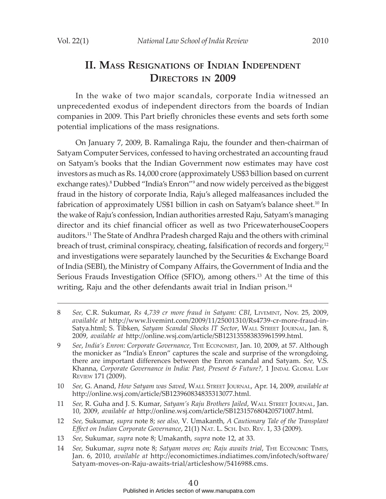# **II. MASS RESIGNATIONS OF INDIAN INDEPENDENT DIRECTORS IN 2009**

In the wake of two major scandals, corporate India witnessed an unprecedented exodus of independent directors from the boards of Indian companies in 2009. This Part briefly chronicles these events and sets forth some potential implications of the mass resignations.

On January 7, 2009, B. Ramalinga Raju, the founder and then-chairman of Satyam Computer Services, confessed to having orchestrated an accounting fraud on Satyam's books that the Indian Government now estimates may have cost investors as much as Rs. 14,000 crore (approximately US\$3 billion based on current exchange rates).<sup>8</sup> Dubbed "India's Enron"<sup>9</sup> and now widely perceived as the biggest fraud in the history of corporate India, Raju's alleged malfeasances included the fabrication of approximately US\$1 billion in cash on Satyam's balance sheet.<sup>10</sup> In the wake of Raju's confession, Indian authorities arrested Raju, Satyam's managing director and its chief financial officer as well as two PricewaterhouseCoopers auditors.11 The State of Andhra Pradesh charged Raju and the others with criminal breach of trust, criminal conspiracy, cheating, falsification of records and forgery,<sup>12</sup> and investigations were separately launched by the Securities & Exchange Board of India (SEBI), the Ministry of Company Affairs, the Government of India and the Serious Frauds Investigation Office (SFIO), among others.<sup>13</sup> At the time of this writing, Raju and the other defendants await trial in Indian prison.<sup>14</sup>

- 12 *See,* Sukumar, *supra* note 8; *see also,* V*.* Umakanth, *A Cautionary Tale of the Transplant Effect on Indian Corporate Governance*, 21(1) NAT. L. SCH. IND. REV. 1, 33 (2009).
- 13 *See,* Sukumar, *supra* note 8; Umakanth, *supra* note 12, at 33.
- 14 *See,* Sukumar, *supra* note 8; *Satyam moves on; Raju awaits trial*, THE ECONOMIC TIMES, Jan. 6, 2010, *available at* http://economictimes.indiatimes.com/infotech/software/ Satyam-moves-on-Raju-awaits-trial/articleshow/5416988.cms.

<sup>8</sup> *See,* C.R. Sukumar, *Rs 4,739 cr more fraud in Satyam: CBI*, LIVEMINT, Nov. 25, 2009, *available at* http://www.livemint.com/2009/11/25001310/Rs4739-cr-more-fraud-in-Satya.html; S. Tibken, *Satyam Scandal Shocks IT Sector*, WALL STREET JOURNAL, Jan. 8, 2009, *available at* http://online.wsj.com/article/SB123135583835961599.html*.*

<sup>9</sup> *See*, *India's Enron: Corporate Governance*, THE ECONOMIST, Jan. 10, 2009, at 57. Although the monicker as "India's Enron" captures the scale and surprise of the wrongdoing, there are important differences between the Enron scandal and Satyam. *See,* V.S. Khanna, Corporate Governance in India: Past, Present & Future?, 1 JINDAL GLOBAL LAW REVIEW 171 (2009).

<sup>10</sup> *See,* G. Anand, *How Satyam was Saved*, WALL STREET JOURNAL, Apr. 14, 2009, *available at* http://online.wsj.com/article/SB123960834835313077.html.

<sup>11</sup> *See,* R. Guha and J. S. Kumar, *Satyam's Raju Brothers Jailed*, WALL STREET JOURNAL, Jan. 10, 2009, *available at* http://online.wsj.com/article/SB123157680420571007.html.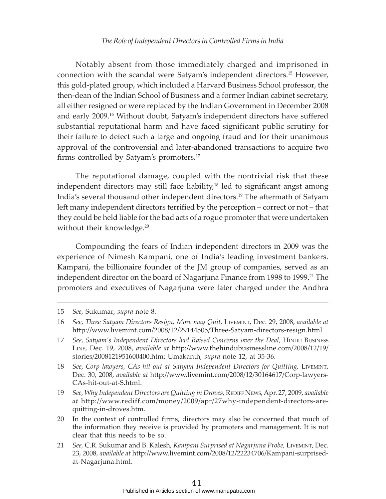Notably absent from those immediately charged and imprisoned in connection with the scandal were Satyam's independent directors.15 However, this gold-plated group, which included a Harvard Business School professor, the then-dean of the Indian School of Business and a former Indian cabinet secretary, all either resigned or were replaced by the Indian Government in December 2008 and early 2009.16 Without doubt, Satyam's independent directors have suffered substantial reputational harm and have faced significant public scrutiny for their failure to detect such a large and ongoing fraud and for their unanimous approval of the controversial and later-abandoned transactions to acquire two firms controlled by Satyam's promoters.17

The reputational damage, coupled with the nontrivial risk that these independent directors may still face liability,<sup>18</sup> led to significant angst among India's several thousand other independent directors.19 The aftermath of Satyam left many independent directors terrified by the perception – correct or not – that they could be held liable for the bad acts of a rogue promoter that were undertaken without their knowledge.<sup>20</sup>

Compounding the fears of Indian independent directors in 2009 was the experience of Nimesh Kampani, one of India's leading investment bankers. Kampani, the billionaire founder of the JM group of companies, served as an independent director on the board of Nagarjuna Finance from 1998 to 1999.<sup>21</sup> The promoters and executives of Nagarjuna were later charged under the Andhra

- 20 In the context of controlled firms, directors may also be concerned that much of the information they receive is provided by promoters and management. It is not clear that this needs to be so.
- 21 *See,* C.R. Sukumar and B. Kalesh, *Kampani Surprised at Nagarjuna Probe,* LIVEMINT, Dec. 23, 2008, *available at* http://www.livemint.com/2008/12/22234706/Kampani-surprisedat-Nagarjuna.html.

<sup>15</sup> *See,* Sukumar, *supra* note 8.

<sup>16</sup> *See*, *Three Satyam Directors Resign, More may Quit,* LIVEMINT, Dec. 29, 2008, *available at* http://www.livemint.com/2008/12/29144505/Three-Satyam-directors-resign.html

<sup>17</sup> *See, Satyam's Independent Directors had Raised Concerns over the Deal, HINDU BUSINESS* LINE, Dec. 19, 2008, *available at* http://www.thehindubusinessline.com/2008/12/19/ stories/2008121951600400.htm; Umakanth, *supra* note 12, at 35-36.

<sup>18</sup> *See*, *Corp lawyers, CAs hit out at Satyam Independent Directors for Quitting,* LIVEMINT, Dec. 30, 2008, *available at* http://www.livemint.com/2008/12/30164617/Corp-lawyers-CAs-hit-out-at-S.html.

<sup>19</sup> *See, Why Independent Directors are Quitting in Droves,* REDIFF NEWS, Apr. 27, 2009, *available at* http://www.rediff.com/money/2009/apr/27why-independent-directors-arequitting-in-droves.htm.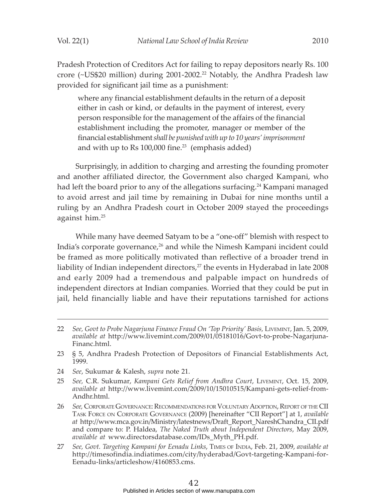Pradesh Protection of Creditors Act for failing to repay depositors nearly Rs. 100 crore (~US\$20 million) during 2001-2002.<sup>22</sup> Notably, the Andhra Pradesh law provided for significant jail time as a punishment:

where any financial establishment defaults in the return of a deposit either in cash or kind, or defaults in the payment of interest, every person responsible for the management of the affairs of the financial establishment including the promoter, manager or member of the financial establishment *shall be punished with up to 10 years' imprisonment* and with up to Rs  $100,000$  fine.<sup>23</sup> (emphasis added)

Surprisingly, in addition to charging and arresting the founding promoter and another affiliated director, the Government also charged Kampani, who had left the board prior to any of the allegations surfacing.<sup>24</sup> Kampani managed to avoid arrest and jail time by remaining in Dubai for nine months until a ruling by an Andhra Pradesh court in October 2009 stayed the proceedings against him.25

While many have deemed Satyam to be a "one-off" blemish with respect to India's corporate governance,<sup>26</sup> and while the Nimesh Kampani incident could be framed as more politically motivated than reflective of a broader trend in liability of Indian independent directors,<sup>27</sup> the events in Hyderabad in late 2008 and early 2009 had a tremendous and palpable impact on hundreds of independent directors at Indian companies. Worried that they could be put in jail, held financially liable and have their reputations tarnished for actions

- 24 *See*, Sukumar & Kalesh, *supra* note 21.
- 25 *See,* C.R. Sukumar, *Kampani Gets Relief from Andhra Court*, LIVEMINT, Oct. 15, 2009, *available at* http://www.livemint.com/2009/10/15010515/Kampani-gets-relief-from-Andhr.html.
- 26 *See,* CORPORATE GOVERNANCE: RECOMMENDATIONS FOR VOLUNTARY ADOPTION, REPORT OF THE CII TASK FORCE ON CORPORATE GOVERNANCE (2009) [hereinafter "CII Report"] at 1, *available at* http://www.mca.gov.in/Ministry/latestnews/Draft\_Report\_NareshChandra\_CII.pdf and compare to: P. Haldea, *The Naked Truth about Independent Directors*, May 2009, *available at* www.directorsdatabase.com/IDs\_Myth\_PH.pdf.
- 27 *See, Govt. Targeting Kampani for Eenadu Links*, TIMES OF INDIA, Feb. 21, 2009, *available at* http://timesofindia.indiatimes.com/city/hyderabad/Govt-targeting-Kampani-for-Eenadu-links/articleshow/4160853.cms.

<sup>22</sup> *See, Govt to Probe Nagarjuna Finance Fraud On 'Top Priority' Basis,* LIVEMINT, Jan. 5, 2009, *available at* http://www.livemint.com/2009/01/05181016/Govt-to-probe-Nagarjuna-Financ.html.

<sup>23 § 5,</sup> Andhra Pradesh Protection of Depositors of Financial Establishments Act, 1999.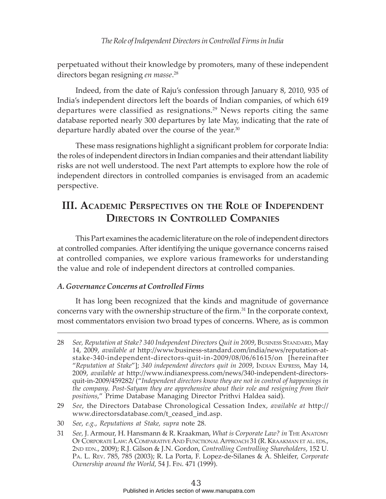perpetuated without their knowledge by promoters, many of these independent directors began resigning *en masse*. 28

Indeed, from the date of Raju's confession through January 8, 2010, 935 of India's independent directors left the boards of Indian companies, of which 619 departures were classified as resignations.<sup>29</sup> News reports citing the same database reported nearly 300 departures by late May, indicating that the rate of departure hardly abated over the course of the year.<sup>30</sup>

These mass resignations highlight a significant problem for corporate India: the roles of independent directors in Indian companies and their attendant liability risks are not well understood. The next Part attempts to explore how the role of independent directors in controlled companies is envisaged from an academic perspective.

# **III. ACADEMIC PERSPECTIVES ON THE ROLE OF INDEPENDENT DIRECTORS IN CONTROLLED COMPANIES**

This Part examines the academic literature on the role of independent directors at controlled companies. After identifying the unique governance concerns raised at controlled companies, we explore various frameworks for understanding the value and role of independent directors at controlled companies.

#### *A. Governance Concerns at Controlled Firms*

It has long been recognized that the kinds and magnitude of governance concerns vary with the ownership structure of the firm.<sup>31</sup> In the corporate context, most commentators envision two broad types of concerns. Where, as is common

- 29 *See*, the Directors Database Chronological Cessation Index, *available at* http:// www.directorsdatabase.com/t\_ceased\_ind.asp.
- 30 *See*, *e.g.*, *Reputations at Stake, supra* note 28.
- 31 *See,* J. Armour, H. Hansmann & R. Kraakman, *What is Corporate Law? in* THE ANATOMY OF CORPORATE LAW: A COMPARATIVE AND FUNCTIONAL APPROACH 31 (R. KRAAKMAN ET AL. EDS., 2ND EDN., 2009); R.J. Gilson & J.N. Gordon, *Controlling Controlling Shareholders*, 152 U. PA. L. REV. 785, 785 (2003); R. La Porta, F. Lopez-de-Silanes & A. Shleifer, *Corporate Ownership around the World*, 54 J. FIN. 471 (1999).

<sup>28</sup> *See, Reputation at Stake? 340 Independent Directors Quit in 2009*, BUSINESS STANDARD, May 14, 2009, *available at* http://www.business-standard.com/india/news/reputation-atstake-340-independent-directors-quit-in-2009/08/06/61615/on [hereinafter "*Reputation at Stake*"]; *340 independent directors quit in 2009*, INDIAN EXPRESS, May 14, 2009, *available at* http://www.indianexpress.com/news/340-independent-directorsquit-in-2009/459282/ ("*Independent directors know they are not in control of happenings in the company. Post-Satyam they are apprehensive about their role and resigning from their positions*," Prime Database Managing Director Prithvi Haldea said).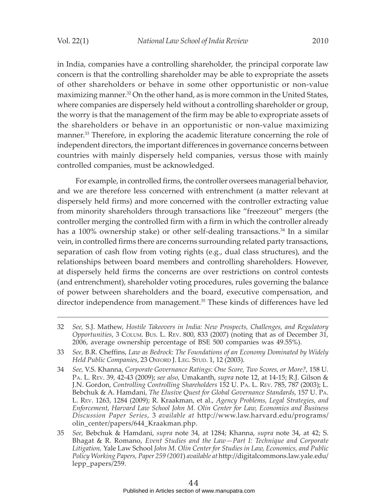in India, companies have a controlling shareholder, the principal corporate law concern is that the controlling shareholder may be able to expropriate the assets of other shareholders or behave in some other opportunistic or non-value maximizing manner.<sup>32</sup> On the other hand, as is more common in the United States, where companies are dispersely held without a controlling shareholder or group, the worry is that the management of the firm may be able to expropriate assets of the shareholders or behave in an opportunistic or non-value maximizing manner.<sup>33</sup> Therefore, in exploring the academic literature concerning the role of independent directors, the important differences in governance concerns between countries with mainly dispersely held companies, versus those with mainly controlled companies, must be acknowledged.

For example, in controlled firms, the controller oversees managerial behavior, and we are therefore less concerned with entrenchment (a matter relevant at dispersely held firms) and more concerned with the controller extracting value from minority shareholders through transactions like "freezeout" mergers (the controller merging the controlled firm with a firm in which the controller already has a 100% ownership stake) or other self-dealing transactions.<sup>34</sup> In a similar vein, in controlled firms there are concerns surrounding related party transactions, separation of cash flow from voting rights (e.g., dual class structures), and the relationships between board members and controlling shareholders. However, at dispersely held firms the concerns are over restrictions on control contests (and entrenchment), shareholder voting procedures, rules governing the balance of power between shareholders and the board, executive compensation, and director independence from management.<sup>35</sup> These kinds of differences have led

<sup>32</sup> *See,* S.J. Mathew, *Hostile Takeovers in India: New Prospects, Challenges, and Regulatory Opportunities*, 3 COLUM. BUS. L. REV. 800, 833 (2007) (noting that as of December 31, 2006, average ownership percentage of BSE 500 companies was 49.55%).

<sup>33</sup> *See,* B.R. Cheffins, *Law as Bedrock: The Foundations of an Economy Dominated by Widely Held Public Companies*, 23 OXFORD J. LEG. STUD. 1, 12 (2003).

<sup>34</sup> *See,* V.S. Khanna, *Corporate Governance Ratings: One Score, Two Scores, or More?*, 158 U. PA. L. REV. 39, 42-43 (2009); *see also,* Umakanth, *supra* note 12, at 14-15; R.J. Gilson & J.N. Gordon, *Controlling Controlling Shareholders* 152 U. PA. L. REV. 785, 787 (2003); L. Bebchuk & A. Hamdani, *The Elusive Quest for Global Governance Standards*, 157 U. PA. L. REV. 1263, 1284 (2009); R. Kraakman, et al., *Agency Problems, Legal Strategies, and Enforcement*, *Harvard Law School John M. Olin Center for Law, Economics and Business Discussion Paper Series*, 3 *available at* http://www.law.harvard.edu/programs/ olin\_center/papers/644\_Kraakman.php.

<sup>35</sup> *See,* Bebchuk & Hamdani, *supra* note 34, at 1284; Khanna, *supra* note 34, at 42; S. Bhagat & R. Romano, *Event Studies and the Law—Part I: Technique and Corporate Litigation,* Yale Law School *John M. Olin Center for Studies in Law, Economics, and Public Policy Working Papers, Paper 259 (2001*) *available at* http://digitalcommons.law.yale.edu/ lepp\_papers/259.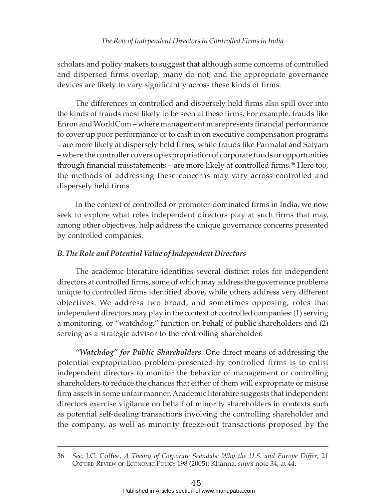scholars and policy makers to suggest that although some concerns of controlled and dispersed firms overlap, many do not, and the appropriate governance devices are likely to vary significantly across these kinds of firms.

The differences in controlled and dispersely held firms also spill over into the kinds of frauds most likely to be seen at these firms. For example, frauds like Enron and WorldCom – where management misrepresents financial performance to cover up poor performance or to cash in on executive compensation programs – are more likely at dispersely held firms, while frauds like Parmalat and Satyam – where the controller covers up expropriation of corporate funds or opportunities through financial misstatements – are more likely at controlled firms. $36$  Here too, the methods of addressing these concerns may vary across controlled and dispersely held firms.

In the context of controlled or promoter-dominated firms in India, we now seek to explore what roles independent directors play at such firms that may, among other objectives, help address the unique governance concerns presented by controlled companies.

### *B. The Role and Potential Value of Independent Directors*

The academic literature identifies several distinct roles for independent directors at controlled firms, some of which may address the governance problems unique to controlled firms identified above, while others address very different objectives. We address two broad, and sometimes opposing, roles that independent directors may play in the context of controlled companies: (1) serving a monitoring, or "watchdog," function on behalf of public shareholders and (2) serving as a strategic advisor to the controlling shareholder.

*"Watchdog" for Public Shareholders*. One direct means of addressing the potential expropriation problem presented by controlled firms is to enlist independent directors to monitor the behavior of management or controlling shareholders to reduce the chances that either of them will expropriate or misuse firm assets in some unfair manner. Academic literature suggests that independent directors exercise vigilance on behalf of minority shareholders in contexts such as potential self-dealing transactions involving the controlling shareholder and the company, as well as minority freeze-out transactions proposed by the

<sup>36</sup> *See,* J.C. Coffee, *A Theory of Corporate Scandals: Why the U.S. and Europe Differ*, 21 OXFORD REVIEW OF ECONOMIC POLICY 198 (2005); Khanna, *supra* note 34, at 44.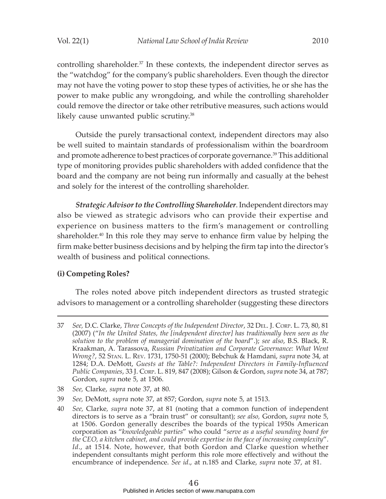controlling shareholder.<sup>37</sup> In these contexts, the independent director serves as the "watchdog" for the company's public shareholders. Even though the director may not have the voting power to stop these types of activities, he or she has the power to make public any wrongdoing, and while the controlling shareholder could remove the director or take other retributive measures, such actions would likely cause unwanted public scrutiny.<sup>38</sup>

Outside the purely transactional context, independent directors may also be well suited to maintain standards of professionalism within the boardroom and promote adherence to best practices of corporate governance.<sup>39</sup> This additional type of monitoring provides public shareholders with added confidence that the board and the company are not being run informally and casually at the behest and solely for the interest of the controlling shareholder.

*Strategic Advisor to the Controlling Shareholder*. Independent directors may also be viewed as strategic advisors who can provide their expertise and experience on business matters to the firm's management or controlling shareholder.40 In this role they may serve to enhance firm value by helping the firm make better business decisions and by helping the firm tap into the director's wealth of business and political connections.

#### **(i) Competing Roles?**

The roles noted above pitch independent directors as trusted strategic advisors to management or a controlling shareholder (suggesting these directors

<sup>37</sup> *See,* D.C. Clarke, *Three Concepts of the Independent Director*, 32 DEL. J. CORP. L. 73, 80, 81 (2007) ("*In the United States, the [independent director] has traditionally been seen as the solution to the problem of managerial domination of the board*".); *see also*, B.S. Black, R. Kraakman, A. Tarassova, *Russian Privatization and Corporate Governance: What Went Wrong?*, 52 STAN. L. REV. 1731, 1750-51 (2000); Bebchuk & Hamdani, *supra* note 34, at 1284; D.A. DeMott, *Guests at the Table?: Independent Directors in Family-Influenced Public Companies*, 33 J. CORP. L. 819, 847 (2008); Gilson & Gordon, *supra* note 34, at 787; Gordon, *supra* note 5, at 1506.

<sup>38</sup> *See,* Clarke, *supra* note 37, at 80.

<sup>39</sup> *See,* DeMott, *supra* note 37, at 857; Gordon, *supra* note 5, at 1513.

<sup>40</sup> *See,* Clarke*, supra* note 37, at 81 (noting that a common function of independent directors is to serve as a "brain trust" or consultant); *see also,* Gordon, *supra* note 5, at 1506. Gordon generally describes the boards of the typical 1950s American corporation as "*knowledgeable parties*" who could "*serve as a useful sounding board for the CEO, a kitchen cabinet, and could provide expertise in the face of increasing complexity*". *Id*., at 1514. Note, however, that both Gordon and Clarke question whether independent consultants might perform this role more effectively and without the encumbrance of independence. *See id*., at n.185 and Clarke, *supra* note 37, at 81.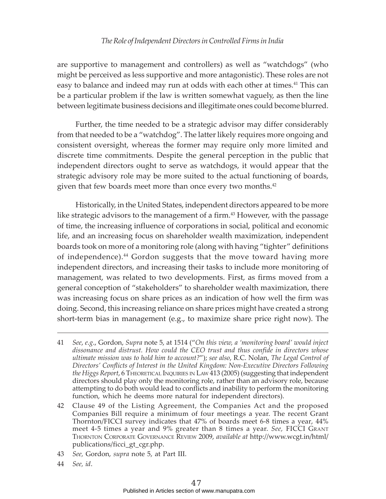are supportive to management and controllers) as well as "watchdogs" (who might be perceived as less supportive and more antagonistic). These roles are not easy to balance and indeed may run at odds with each other at times.<sup>41</sup> This can be a particular problem if the law is written somewhat vaguely, as then the line between legitimate business decisions and illegitimate ones could become blurred.

Further, the time needed to be a strategic advisor may differ considerably from that needed to be a "watchdog". The latter likely requires more ongoing and consistent oversight, whereas the former may require only more limited and discrete time commitments. Despite the general perception in the public that independent directors ought to serve as watchdogs, it would appear that the strategic advisory role may be more suited to the actual functioning of boards, given that few boards meet more than once every two months.<sup>42</sup>

Historically, in the United States, independent directors appeared to be more like strategic advisors to the management of a firm.<sup>43</sup> However, with the passage of time, the increasing influence of corporations in social, political and economic life, and an increasing focus on shareholder wealth maximization, independent boards took on more of a monitoring role (along with having "tighter" definitions of independence).44 Gordon suggests that the move toward having more independent directors, and increasing their tasks to include more monitoring of management, was related to two developments. First, as firms moved from a general conception of "stakeholders" to shareholder wealth maximization, there was increasing focus on share prices as an indication of how well the firm was doing. Second, this increasing reliance on share prices might have created a strong short-term bias in management (e.g., to maximize share price right now). The

- 43 *See,* Gordon, *supra* note 5, at Part III.
- 44 *See, id*.

<sup>41</sup> *See*, *e*.*g*., Gordon, *Supra* note 5, at 1514 ("*On this view, a 'monitoring board' would inject dissonance and distrust. How could the CEO trust and thus confide in directors whose ultimate mission was to hold him to account?*"); *see also*, R.C. Nolan, *The Legal Control of Directors' Conflicts of Interest in the United Kingdom: Non-Executive Directors Following* the Higgs Report, 6 THEORETICAL INQUIRIES IN LAW 413 (2005) (suggesting that independent directors should play only the monitoring role, rather than an advisory role, because attempting to do both would lead to conflicts and inability to perform the monitoring function, which he deems more natural for independent directors).

<sup>42</sup> Clause 49 of the Listing Agreement, the Companies Act and the proposed Companies Bill require a minimum of four meetings a year. The recent Grant Thornton/FICCI survey indicates that 47% of boards meet 6-8 times a year, 44% meet 4-5 times a year and 9% greater than 8 times a year. *See,* FICCI GRANT THORNTON CORPORATE GOVERNANCE REVIEW 2009, *available at* http://www.wcgt.in/html/ publications/ficci\_gt\_cgr.php.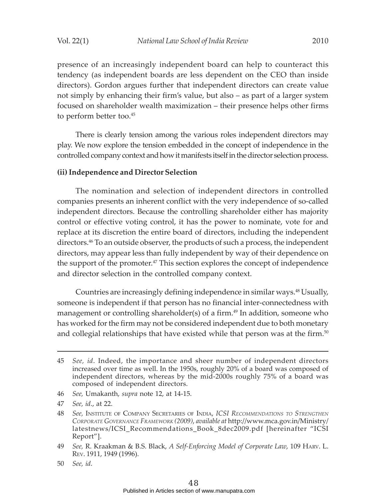presence of an increasingly independent board can help to counteract this tendency (as independent boards are less dependent on the CEO than inside directors). Gordon argues further that independent directors can create value not simply by enhancing their firm's value, but also – as part of a larger system focused on shareholder wealth maximization – their presence helps other firms to perform better too.<sup>45</sup>

There is clearly tension among the various roles independent directors may play. We now explore the tension embedded in the concept of independence in the controlled company context and how it manifests itself in the director selection process.

#### **(ii) Independence and Director Selection**

The nomination and selection of independent directors in controlled companies presents an inherent conflict with the very independence of so-called independent directors. Because the controlling shareholder either has majority control or effective voting control, it has the power to nominate, vote for and replace at its discretion the entire board of directors, including the independent directors.<sup>46</sup> To an outside observer, the products of such a process, the independent directors, may appear less than fully independent by way of their dependence on the support of the promoter.<sup>47</sup> This section explores the concept of independence and director selection in the controlled company context.

Countries are increasingly defining independence in similar ways.<sup>48</sup> Usually, someone is independent if that person has no financial inter-connectedness with management or controlling shareholder(s) of a firm.<sup>49</sup> In addition, someone who has worked for the firm may not be considered independent due to both monetary and collegial relationships that have existed while that person was at the firm.<sup>50</sup>

<sup>45</sup> *See, id*. Indeed, the importance and sheer number of independent directors increased over time as well. In the 1950s, roughly 20% of a board was composed of independent directors, whereas by the mid-2000s roughly 75% of a board was composed of independent directors.

<sup>46</sup> *See,* Umakanth, *supra* note 12, at 14-15.

<sup>47</sup> *See, id*., at 22.

<sup>48</sup> *See,* INSTITUTE OF COMPANY SECRETARIES OF INDIA, *ICSI RECOMMENDATIONS TO STRENGTHEN CORPORATE GOVERNANCE FRAMEWORK (2009)*, *available at* http://www.mca.gov.in/Ministry/ latestnews/ICSI\_Recommendations\_Book\_8dec2009.pdf [hereinafter "ICSI Report"].

<sup>49</sup> *See,* R. Kraakman & B.S. Black, *A Self-Enforcing Model of Corporate Law*, 109 HARV. L. REV. 1911, 1949 (1996).

<sup>50</sup> *See, id*.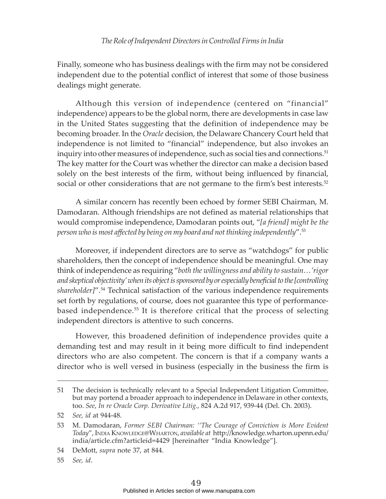Finally, someone who has business dealings with the firm may not be considered independent due to the potential conflict of interest that some of those business dealings might generate.

Although this version of independence (centered on "financial" independence) appears to be the global norm, there are developments in case law in the United States suggesting that the definition of independence may be becoming broader. In the *Oracle* decision, the Delaware Chancery Court held that independence is not limited to "financial" independence, but also invokes an inquiry into other measures of independence, such as social ties and connections.<sup>51</sup> The key matter for the Court was whether the director can make a decision based solely on the best interests of the firm, without being influenced by financial, social or other considerations that are not germane to the firm's best interests.<sup>52</sup>

A similar concern has recently been echoed by former SEBI Chairman, M. Damodaran. Although friendships are not defined as material relationships that would compromise independence, Damodaran points out, "*[a friend] might be the person who is most affected by being on my board and not thinking independently*".53

Moreover, if independent directors are to serve as "watchdogs" for public shareholders, then the concept of independence should be meaningful. One may think of independence as requiring "*both the willingness and ability to sustain…'rigor and skeptical objectivity' when its object is sponsored by or especially beneficial to the [controlling shareholder]*".54 Technical satisfaction of the various independence requirements set forth by regulations, of course, does not guarantee this type of performancebased independence.55 It is therefore critical that the process of selecting independent directors is attentive to such concerns.

However, this broadened definition of independence provides quite a demanding test and may result in it being more difficult to find independent directors who are also competent. The concern is that if a company wants a director who is well versed in business (especially in the business the firm is

55 *See, id*.

<sup>51</sup> The decision is technically relevant to a Special Independent Litigation Committee, but may portend a broader approach to independence in Delaware in other contexts, too. *See*, *In re Oracle Corp. Derivative Litig.*, 824 A.2d 917, 939-44 (Del. Ch. 2003).

<sup>52</sup> *See, id* at 944-48.

<sup>53</sup> M. Damodaran, *Former SEBI Chairman: ''The Courage of Conviction is More Evident Today*", INDIA KNOWLEDGE@WHARTON, *available at* http://knowledge.wharton.upenn.edu/ india/article.cfm?articleid=4429 [hereinafter "India Knowledge"].

<sup>54</sup> DeMott, *supra* note 37, at 844.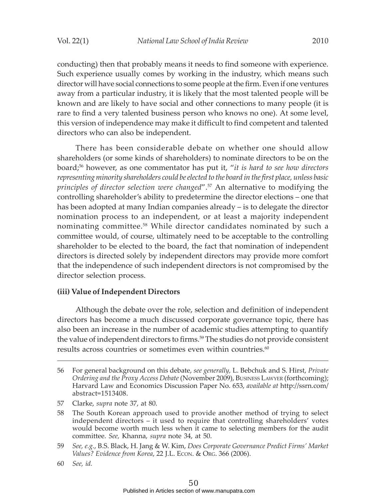conducting) then that probably means it needs to find someone with experience. Such experience usually comes by working in the industry, which means such director will have social connections to some people at the firm. Even if one ventures away from a particular industry, it is likely that the most talented people will be known and are likely to have social and other connections to many people (it is rare to find a very talented business person who knows no one). At some level, this version of independence may make it difficult to find competent and talented directors who can also be independent.

There has been considerable debate on whether one should allow shareholders (or some kinds of shareholders) to nominate directors to be on the board;56 however, as one commentator has put it, "*it is hard to see how directors representing minority shareholders could be elected to the board in the first place, unless basic principles of director selection were changed*".57 An alternative to modifying the controlling shareholder's ability to predetermine the director elections – one that has been adopted at many Indian companies already – is to delegate the director nomination process to an independent, or at least a majority independent nominating committee.<sup>58</sup> While director candidates nominated by such a committee would, of course, ultimately need to be acceptable to the controlling shareholder to be elected to the board, the fact that nomination of independent directors is directed solely by independent directors may provide more comfort that the independence of such independent directors is not compromised by the director selection process.

#### **(iii) Value of Independent Directors**

Although the debate over the role, selection and definition of independent directors has become a much discussed corporate governance topic, there has also been an increase in the number of academic studies attempting to quantify the value of independent directors to firms.<sup>59</sup> The studies do not provide consistent results across countries or sometimes even within countries.<sup>60</sup>

57 Clarke, *supra* note 37, at 80.

<sup>56</sup> For general background on this debate, *see generally,* L. Bebchuk and S. Hirst, *Private Ordering and the Proxy Access Debate* (November 2009), BUSINESS LAWYER (forthcoming); Harvard Law and Economics Discussion Paper No. 653, *available at* http://ssrn.com/ abstract=1513408.

<sup>58</sup> The South Korean approach used to provide another method of trying to select independent directors – it used to require that controlling shareholders' votes would become worth much less when it came to selecting members for the audit committee. *See,* Khanna, *supra* note 34, at 50.

<sup>59</sup> *See, e.g.*, B.S. Black, H. Jang & W. Kim, *Does Corporate Governance Predict Firms' Market Values? Evidence from Korea*, 22 J.L. ECON. & ORG. 366 (2006).

<sup>60</sup> *See, id.*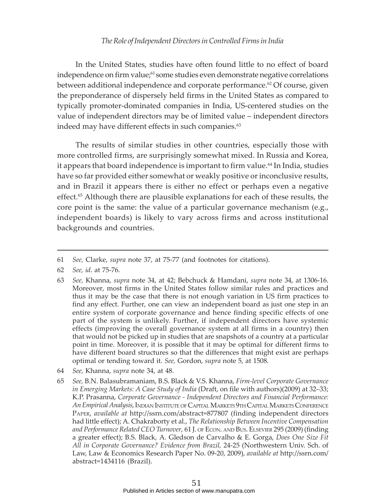In the United States, studies have often found little to no effect of board independence on firm value;<sup>61</sup> some studies even demonstrate negative correlations between additional independence and corporate performance.<sup>62</sup> Of course, given the preponderance of dispersely held firms in the United States as compared to typically promoter-dominated companies in India, US-centered studies on the value of independent directors may be of limited value – independent directors indeed may have different effects in such companies. $63$ 

The results of similar studies in other countries, especially those with more controlled firms, are surprisingly somewhat mixed. In Russia and Korea, it appears that board independence is important to firm value.<sup>64</sup> In India, studies have so far provided either somewhat or weakly positive or inconclusive results, and in Brazil it appears there is either no effect or perhaps even a negative effect.<sup>65</sup> Although there are plausible explanations for each of these results, the core point is the same: the value of a particular governance mechanism (e.g., independent boards) is likely to vary across firms and across institutional backgrounds and countries.

- 63 *See,* Khanna, *supra* note 34, at 42; Bebchuck & Hamdani, *supra* note 34, at 1306-16. Moreover, most firms in the United States follow similar rules and practices and thus it may be the case that there is not enough variation in US firm practices to find any effect. Further, one can view an independent board as just one step in an entire system of corporate governance and hence finding specific effects of one part of the system is unlikely. Further, if independent directors have systemic effects (improving the overall governance system at all firms in a country) then that would not be picked up in studies that are snapshots of a country at a particular point in time. Moreover, it is possible that it may be optimal for different firms to have different board structures so that the differences that might exist are perhaps optimal or tending toward it. *See,* Gordon, *supra* note 5, at 1508.
- 64 *See,* Khanna, *supra* note 34, at 48.
- 65 *See,* B.N. Balasubramaniam, B.S. Black & V.S. Khanna, *Firm-level Corporate Governance in Emerging Markets: A Case Study of India* (Draft, on file with authors)(2009) at 32–33; K.P. Prasanna, *Corporate Governance - Independent Directors and Financial Performance: An Empirical Analysis*, INDIAN INSTITUTE OF CAPITAL MARKETS 9TH CAPITAL MARKETS CONFERENCE PAPER, *available at* http://ssrn.com/abstract=877807 (finding independent directors had little effect); A. Chakraborty et al., *The Relationship Between Incentive Compensation and Performance Related CEO Turnover*, 61 J. OF ECON. AND BUS. ELSEVIER 295 (2009) (finding a greater effect); B.S. Black, A. Gledson de Carvalho & E. Gorga, *Does One Size Fit All in Corporate Governance? Evidence from Brazil,* 24-25 (Northwestern Univ. Sch. of Law, Law & Economics Research Paper No. 09-20, 2009), *available at* http://ssrn.com/ abstract=1434116 (Brazil).

<sup>61</sup> *See,* Clarke, *supra* note 37, at 75-77 (and footnotes for citations).

<sup>62</sup> *See, id*. at 75-76.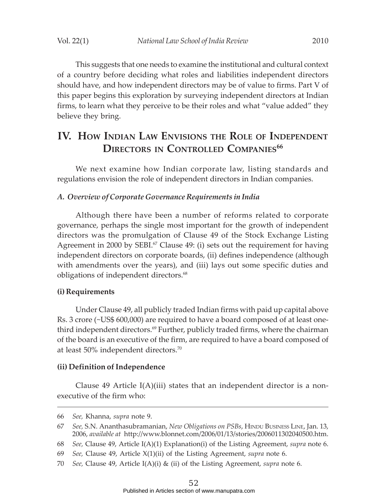This suggests that one needs to examine the institutional and cultural context of a country before deciding what roles and liabilities independent directors should have, and how independent directors may be of value to firms. Part V of this paper begins this exploration by surveying independent directors at Indian firms, to learn what they perceive to be their roles and what "value added" they believe they bring.

# **IV. HOW INDIAN LAW ENVISIONS THE ROLE OF INDEPENDENT DIRECTORS IN CONTROLLED COMPANIES<sup>66</sup>**

We next examine how Indian corporate law, listing standards and regulations envision the role of independent directors in Indian companies.

#### *A. Overview of Corporate Governance Requirements in India*

Although there have been a number of reforms related to corporate governance, perhaps the single most important for the growth of independent directors was the promulgation of Clause 49 of the Stock Exchange Listing Agreement in 2000 by SEBI.<sup>67</sup> Clause 49: (i) sets out the requirement for having independent directors on corporate boards, (ii) defines independence (although with amendments over the years), and (iii) lays out some specific duties and obligations of independent directors.<sup>68</sup>

#### **(i) Requirements**

Under Clause 49, all publicly traded Indian firms with paid up capital above Rs. 3 crore (~US\$ 600,000) are required to have a board composed of at least onethird independent directors. $69$  Further, publicly traded firms, where the chairman of the board is an executive of the firm, are required to have a board composed of at least 50% independent directors.70

#### **(ii) Definition of Independence**

Clause 49 Article  $I(A)(iii)$  states that an independent director is a nonexecutive of the firm who:

<sup>66</sup> *See,* Khanna, *supra* note 9.

<sup>67</sup> *See,* S.N. Ananthasubramanian, *New Obligations on PSBs*, HINDU BUSINESS LINE, Jan. 13, 2006, *available at* http://www.blonnet.com/2006/01/13/stories/2006011302040500.htm.

<sup>68</sup> *See,* Clause 49, Article I(A)(1) Explanation(i) of the Listing Agreement, *supra* note 6.

<sup>69</sup> *See,* Clause 49, Article X(1)(ii) of the Listing Agreement, *supra* note 6.

<sup>70</sup> *See,* Clause 49, Article I(A)(i) & (ii) of the Listing Agreement, *supra* note 6.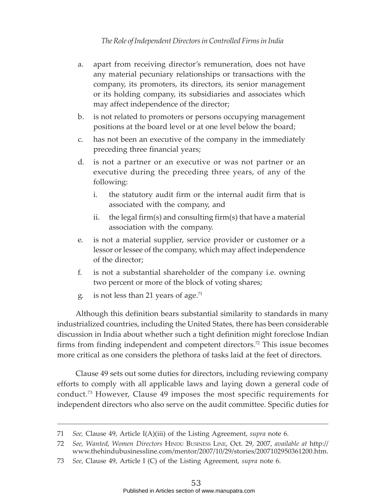- a. apart from receiving director's remuneration, does not have any material pecuniary relationships or transactions with the company, its promoters, its directors, its senior management or its holding company, its subsidiaries and associates which may affect independence of the director;
- b. is not related to promoters or persons occupying management positions at the board level or at one level below the board;
- c. has not been an executive of the company in the immediately preceding three financial years;
- d. is not a partner or an executive or was not partner or an executive during the preceding three years, of any of the following:
	- i. the statutory audit firm or the internal audit firm that is associated with the company, and
	- ii. the legal firm(s) and consulting firm(s) that have a material association with the company.
- e. is not a material supplier, service provider or customer or a lessor or lessee of the company, which may affect independence of the director;
- f. is not a substantial shareholder of the company i.e. owning two percent or more of the block of voting shares;
- g. is not less than 21 years of age.<sup>71</sup>

Although this definition bears substantial similarity to standards in many industrialized countries, including the United States, there has been considerable discussion in India about whether such a tight definition might foreclose Indian firms from finding independent and competent directors.72 This issue becomes more critical as one considers the plethora of tasks laid at the feet of directors.

Clause 49 sets out some duties for directors, including reviewing company efforts to comply with all applicable laws and laying down a general code of conduct.73 However, Clause 49 imposes the most specific requirements for independent directors who also serve on the audit committee. Specific duties for

<sup>71</sup> *See,* Clause 49, Article I(A)(iii) of the Listing Agreement, *supra* note 6.

<sup>72</sup> *See, Wanted*, *Women Directors* HINDU BUSINESS LINE, Oct. 29, 2007, *available at* http:// www.thehindubusinessline.com/mentor/2007/10/29/stories/2007102950361200.htm.

<sup>73</sup> *See,* Clause 49, Article I (C) of the Listing Agreement, *supra* note 6.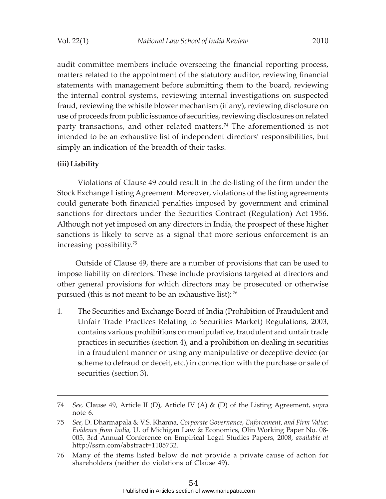audit committee members include overseeing the financial reporting process, matters related to the appointment of the statutory auditor, reviewing financial statements with management before submitting them to the board, reviewing the internal control systems, reviewing internal investigations on suspected fraud, reviewing the whistle blower mechanism (if any), reviewing disclosure on use of proceeds from public issuance of securities, reviewing disclosures on related party transactions, and other related matters.<sup>74</sup> The aforementioned is not intended to be an exhaustive list of independent directors' responsibilities, but simply an indication of the breadth of their tasks.

## **(iii) Liability**

 Violations of Clause 49 could result in the de-listing of the firm under the Stock Exchange Listing Agreement. Moreover, violations of the listing agreements could generate both financial penalties imposed by government and criminal sanctions for directors under the Securities Contract (Regulation) Act 1956. Although not yet imposed on any directors in India, the prospect of these higher sanctions is likely to serve as a signal that more serious enforcement is an increasing possibility.75

Outside of Clause 49, there are a number of provisions that can be used to impose liability on directors. These include provisions targeted at directors and other general provisions for which directors may be prosecuted or otherwise pursued (this is not meant to be an exhaustive list): 76

1. The Securities and Exchange Board of India (Prohibition of Fraudulent and Unfair Trade Practices Relating to Securities Market) Regulations, 2003, contains various prohibitions on manipulative, fraudulent and unfair trade practices in securities (section 4), and a prohibition on dealing in securities in a fraudulent manner or using any manipulative or deceptive device (or scheme to defraud or deceit, etc.) in connection with the purchase or sale of securities (section 3).

<sup>74</sup> *See,* Clause 49, Article II (D), Article IV (A) & (D) of the Listing Agreement, *supra* note 6.

<sup>75</sup> *See,* D. Dharmapala & V.S. Khanna, *Corporate Governance, Enforcement, and Firm Value: Evidence from India,* U. of Michigan Law & Economics, Olin Working Paper No. 08- 005, 3rd Annual Conference on Empirical Legal Studies Papers, 2008, *available at* http://ssrn.com/abstract=1105732.

<sup>76</sup> Many of the items listed below do not provide a private cause of action for shareholders (neither do violations of Clause 49).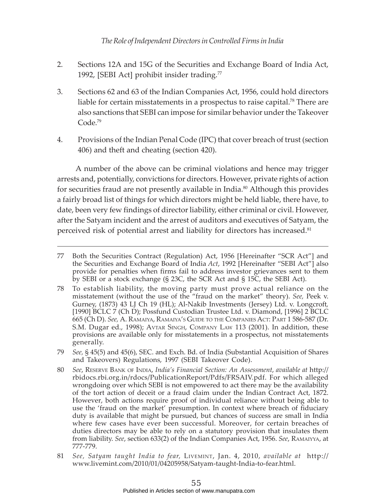- 2. Sections 12A and 15G of the Securities and Exchange Board of India Act, 1992, [SEBI Act] prohibit insider trading. $77$
- 3. Sections 62 and 63 of the Indian Companies Act, 1956, could hold directors liable for certain misstatements in a prospectus to raise capital.<sup>78</sup> There are also sanctions that SEBI can impose for similar behavior under the Takeover Code.<sup>79</sup>
- 4. Provisions of the Indian Penal Code (IPC) that cover breach of trust (section 406) and theft and cheating (section 420).

A number of the above can be criminal violations and hence may trigger arrests and, potentially, convictions for directors. However, private rights of action for securities fraud are not presently available in India.<sup>80</sup> Although this provides a fairly broad list of things for which directors might be held liable, there have, to date, been very few findings of director liability, either criminal or civil. However, after the Satyam incident and the arrest of auditors and executives of Satyam, the perceived risk of potential arrest and liability for directors has increased.<sup>81</sup>

<sup>77</sup> Both the Securities Contract (Regulation) Act, 1956 [Hereinafter "SCR Act"] and the Securities and Exchange Board of India *Act*, 1992 [Hereinafter "SEBI Act"] also provide for penalties when firms fail to address investor grievances sent to them by SEBI or a stock exchange (§ 23C, the SCR Act and § 15C, the SEBI Act).

<sup>78</sup> To establish liability, the moving party must prove actual reliance on the misstatement (without the use of the "fraud on the market" theory). *See,* Peek v. Gurney, (1873) 43 LJ Ch 19 (HL); Al-Nakib Investments (Jersey) Ltd. v. Longcroft*,* [1990] BCLC 7 (Ch D); Possfund Custodian Trustee Ltd. v. Diamond, [1996] 2 BCLC 665 (Ch D). *See,* A. RAMAIYA, RAMAIYA'S GUIDE TO THE COMPANIES ACT: PART 1 586-587 (Dr. S.M. Dugar ed., 1998); AVTAR SINGH, COMPANY LAW 113 (2001). In addition, these provisions are available only for misstatements in a prospectus, not misstatements generally.

<sup>79</sup> *See,* § 45(5) and 45(6), SEC. and Exch. Bd. of India (Substantial Acquisition of Shares and Takeovers) Regulations, 1997 (SEBI Takeover Code).

<sup>80</sup> *See*, RESERVE BANK OF INDIA, *India's Financial Section: An Assessment*, *available at* http:// rbidocs.rbi.org.in/rdocs/PublicationReport/Pdfs/FRSAIV.pdf. For which alleged wrongdoing over which SEBI is not empowered to act there may be the availability of the tort action of deceit or a fraud claim under the Indian Contract Act, 1872. However, both actions require proof of individual reliance without being able to use the 'fraud on the market' presumption. In context where breach of fiduciary duty is available that might be pursued, but chances of success are small in India where few cases have ever been successful. Moreover, for certain breaches of duties directors may be able to rely on a statutory provision that insulates them from liability. *See*, section 633(2) of the Indian Companies Act, 1956. *See*, RAMAIYYA, at 777-779.

<sup>81</sup> *See, Satyam taught India to fear,* LIVEMINT, Jan. 4, 2010, *available at* http:// www.livemint.com/2010/01/04205958/Satyam-taught-India-to-fear.html.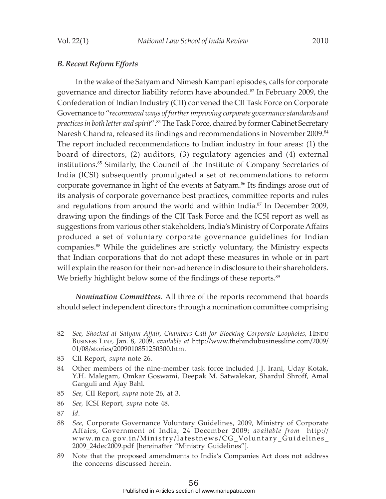#### *B. Recent Reform Efforts*

In the wake of the Satyam and Nimesh Kampani episodes, calls for corporate governance and director liability reform have abounded.<sup>82</sup> In February 2009, the Confederation of Indian Industry (CII) convened the CII Task Force on Corporate Governance to "*recommend ways of further improving corporate governance standards and practices in both letter and spirit*".83 The Task Force, chaired by former Cabinet Secretary Naresh Chandra, released its findings and recommendations in November 2009.<sup>84</sup> The report included recommendations to Indian industry in four areas: (1) the board of directors, (2) auditors, (3) regulatory agencies and (4) external institutions.85 Similarly, the Council of the Institute of Company Secretaries of India (ICSI) subsequently promulgated a set of recommendations to reform corporate governance in light of the events at Satyam.<sup>86</sup> Its findings arose out of its analysis of corporate governance best practices, committee reports and rules and regulations from around the world and within India.<sup>87</sup> In December 2009, drawing upon the findings of the CII Task Force and the ICSI report as well as suggestions from various other stakeholders, India's Ministry of Corporate Affairs produced a set of voluntary corporate governance guidelines for Indian companies.88 While the guidelines are strictly voluntary, the Ministry expects that Indian corporations that do not adopt these measures in whole or in part will explain the reason for their non-adherence in disclosure to their shareholders. We briefly highlight below some of the findings of these reports.<sup>89</sup>

*Nomination Committees*. All three of the reports recommend that boards should select independent directors through a nomination committee comprising

- 85 *See,* CII Report, *supra* note 26, at 3.
- 86 *See,* ICSI Report*, supra* note 48.

<sup>82</sup> *See, Shocked at Satyam Affair, Chambers Call for Blocking Corporate Loopholes, HINDU* BUSINESS LINE, Jan. 8, 2009, *available at* http://www.thehindubusinessline.com/2009/ 01/08/stories/2009010851250300.htm.

<sup>83</sup> CII Report, *supra* note 26.

<sup>84</sup> Other members of the nine-member task force included J.J. Irani, Uday Kotak, Y.H. Malegam, Omkar Goswami, Deepak M. Satwalekar, Shardul Shroff, Amal Ganguli and Ajay Bahl.

<sup>87</sup> *Id*.

<sup>88</sup> *See,* Corporate Governance Voluntary Guidelines, 2009, Ministry of Corporate Affairs, Government of India, 24 December 2009; *available from* http:// www.mca.gov.in/Ministry/latestnews/CG\_Voluntary\_Guidelines\_ 2009\_24dec2009.pdf [hereinafter "Ministry Guidelines"].

<sup>89</sup> Note that the proposed amendments to India's Companies Act does not address the concerns discussed herein.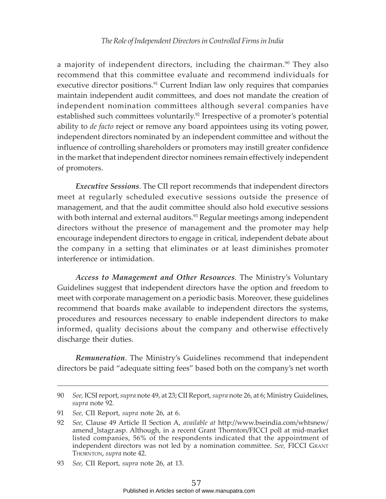a majority of independent directors, including the chairman. $90$  They also recommend that this committee evaluate and recommend individuals for executive director positions.<sup>91</sup> Current Indian law only requires that companies maintain independent audit committees, and does not mandate the creation of independent nomination committees although several companies have established such committees voluntarily.<sup>92</sup> Irrespective of a promoter's potential ability to *de facto* reject or remove any board appointees using its voting power, independent directors nominated by an independent committee and without the influence of controlling shareholders or promoters may instill greater confidence in the market that independent director nominees remain effectively independent of promoters.

*Executive Sessions*. The CII report recommends that independent directors meet at regularly scheduled executive sessions outside the presence of management, and that the audit committee should also hold executive sessions with both internal and external auditors.<sup>93</sup> Regular meetings among independent directors without the presence of management and the promoter may help encourage independent directors to engage in critical, independent debate about the company in a setting that eliminates or at least diminishes promoter interference or intimidation.

*Access to Management and Other Resources*. The Ministry's Voluntary Guidelines suggest that independent directors have the option and freedom to meet with corporate management on a periodic basis. Moreover, these guidelines recommend that boards make available to independent directors the systems, procedures and resources necessary to enable independent directors to make informed, quality decisions about the company and otherwise effectively discharge their duties.

*Remuneration*. The Ministry's Guidelines recommend that independent directors be paid "adequate sitting fees" based both on the company's net worth

<sup>90</sup> *See,* ICSI report, *supra* note 49, at 23; CII Report, *supra* note 26, at 6; Ministry Guidelines, *supra* note 92.

<sup>91</sup> *See,* CII Report, *supra* note 26, at 6.

<sup>92</sup> *See,* Clause 49 Article II Section A, *available at* http://www.bseindia.com/whtsnew/ amend\_lstagr.asp. Although, in a recent Grant Thornton/FICCI poll at mid-market listed companies, 56% of the respondents indicated that the appointment of independent directors was not led by a nomination committee. *See,* FICCI GRANT THORNTON, *supra* note 42.

<sup>93</sup> *See,* CII Report, *supra* note 26, at 13.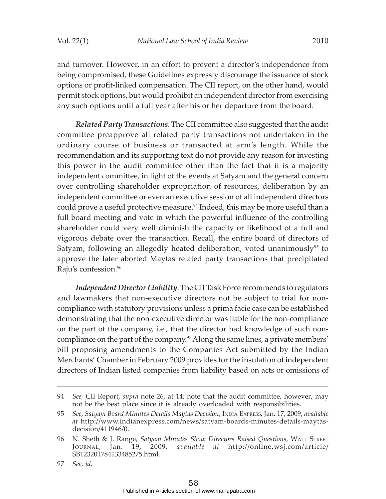and turnover. However, in an effort to prevent a director's independence from being compromised, these Guidelines expressly discourage the issuance of stock options or profit-linked compensation. The CII report, on the other hand, would permit stock options, but would prohibit an independent director from exercising any such options until a full year after his or her departure from the board.

*Related Party Transactions*. The CII committee also suggested that the audit committee preapprove all related party transactions not undertaken in the ordinary course of business or transacted at arm's length. While the recommendation and its supporting text do not provide any reason for investing this power in the audit committee other than the fact that it is a majority independent committee, in light of the events at Satyam and the general concern over controlling shareholder expropriation of resources, deliberation by an independent committee or even an executive session of all independent directors could prove a useful protective measure.<sup>94</sup> Indeed, this may be more useful than a full board meeting and vote in which the powerful influence of the controlling shareholder could very well diminish the capacity or likelihood of a full and vigorous debate over the transaction. Recall, the entire board of directors of Satyam, following an allegedly heated deliberation, voted unanimously<sup>95</sup> to approve the later aborted Maytas related party transactions that precipitated Raju's confession.96

*Independent Director Liability*. The CII Task Force recommends to regulators and lawmakers that non-executive directors not be subject to trial for noncompliance with statutory provisions unless a prima facie case can be established demonstrating that the non-executive director was liable for the non-compliance on the part of the company, i.e., that the director had knowledge of such noncompliance on the part of the company.97 Along the same lines, a private members' bill proposing amendments to the Companies Act submitted by the Indian Merchants' Chamber in February 2009 provides for the insulation of independent directors of Indian listed companies from liability based on acts or omissions of

97 *See, id*.

<sup>94</sup> *See,* CII Report, *supra* note 26, at 14; note that the audit committee, however, may not be the best place since it is already overloaded with responsibilities.

<sup>95</sup> *See, Satyam Board Minutes Details Maytas Decision*, INDIA EXPRESS, Jan. 17, 2009, *available at* http://www.indianexpress.com/news/satyam-boards-minutes-details-maytasdecision/411946/0.

<sup>96</sup> N. Sheth & J. Range, *Satyam Minutes Show Directors Raised Questions*, WALL STREET JOURNAL, Jan. 19, 2009, *available at* http://online.wsj.com/article/ SB123201784133485275.html.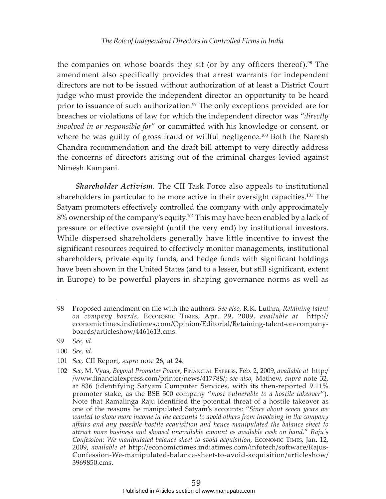the companies on whose boards they sit (or by any officers thereof).<sup>98</sup> The amendment also specifically provides that arrest warrants for independent directors are not to be issued without authorization of at least a District Court judge who must provide the independent director an opportunity to be heard prior to issuance of such authorization.<sup>99</sup> The only exceptions provided are for breaches or violations of law for which the independent director was "*directly involved in or responsible for*" or committed with his knowledge or consent, or where he was guilty of gross fraud or willful negligence.<sup>100</sup> Both the Naresh Chandra recommendation and the draft bill attempt to very directly address the concerns of directors arising out of the criminal charges levied against Nimesh Kampani.

*Shareholder Activism*. The CII Task Force also appeals to institutional shareholders in particular to be more active in their oversight capacities.<sup>101</sup> The Satyam promoters effectively controlled the company with only approximately 8% ownership of the company's equity.<sup>102</sup> This may have been enabled by a lack of pressure or effective oversight (until the very end) by institutional investors. While dispersed shareholders generally have little incentive to invest the significant resources required to effectively monitor managements, institutional shareholders, private equity funds, and hedge funds with significant holdings have been shown in the United States (and to a lesser, but still significant, extent in Europe) to be powerful players in shaping governance norms as well as

- 100 *See, id*.
- 101 *See,* CII Report, *supra* note 26, at 24.
- 102 *See,* M. Vyas, *Beyond Promoter Power*, FINANCIAL EXPRESS, Feb. 2, 2009, *available at* http:/ /www.financialexpress.com/printer/news/417788/; *see also,* Mathew, *supra* note 32, at 836 (identifying Satyam Computer Services, with its then-reported 9.11% promoter stake, as the BSE 500 company "*most vulnerable to a hostile takeover*"). Note that Ramalinga Raju identified the potential threat of a hostile takeover as one of the reasons he manipulated Satyam's accounts: "*Since about seven years we wanted to show more income in the accounts to avoid others from involving in the company affairs and any possible hostile acquisition and hence manipulated the balance sheet to attract more business and showed unavailable amount as available cash on hand*." *Raju's Confession: We manipulated balance sheet to avoid acquisition*, ECONOMIC TIMES, Jan. 12, 2009, *available at* http://economictimes.indiatimes.com/infotech/software/Rajus-Confession-We-manipulated-balance-sheet-to-avoid-acquisition/articleshow/ 3969850.cms.

<sup>98</sup> Proposed amendment on file with the authors. *See also,* R.K. Luthra, *Retaining talent on company boards*, ECONOMIC TIMES, Apr. 29, 2009, *available at* http:// economictimes.indiatimes.com/Opinion/Editorial/Retaining-talent-on-companyboards/articleshow/4461613.cms.

<sup>99</sup> *See, id*.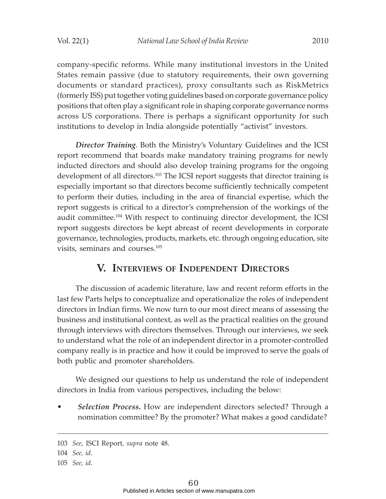company-specific reforms. While many institutional investors in the United States remain passive (due to statutory requirements, their own governing documents or standard practices), proxy consultants such as RiskMetrics (formerly ISS) put together voting guidelines based on corporate governance policy positions that often play a significant role in shaping corporate governance norms across US corporations. There is perhaps a significant opportunity for such institutions to develop in India alongside potentially "activist" investors.

*Director Training*. Both the Ministry's Voluntary Guidelines and the ICSI report recommend that boards make mandatory training programs for newly inducted directors and should also develop training programs for the ongoing development of all directors.103 The ICSI report suggests that director training is especially important so that directors become sufficiently technically competent to perform their duties, including in the area of financial expertise, which the report suggests is critical to a director's comprehension of the workings of the audit committee.104 With respect to continuing director development, the ICSI report suggests directors be kept abreast of recent developments in corporate governance, technologies, products, markets, etc. through ongoing education, site visits, seminars and courses.105

## **V. INTERVIEWS OF INDEPENDENT DIRECTORS**

The discussion of academic literature, law and recent reform efforts in the last few Parts helps to conceptualize and operationalize the roles of independent directors in Indian firms. We now turn to our most direct means of assessing the business and institutional context, as well as the practical realities on the ground through interviews with directors themselves. Through our interviews, we seek to understand what the role of an independent director in a promoter-controlled company really is in practice and how it could be improved to serve the goals of both public and promoter shareholders.

We designed our questions to help us understand the role of independent directors in India from various perspectives, including the below:

• *Selection Process***.** How are independent directors selected? Through a nomination committee? By the promoter? What makes a good candidate?

<sup>103</sup> *See,* ISCI Report, *supra* note 48.

<sup>104</sup> *See, id*.

<sup>105</sup> *See, id*.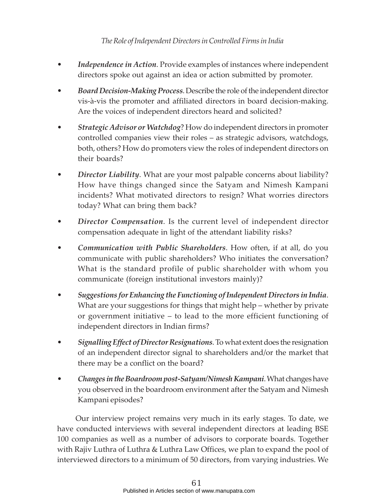- *Independence in Action*. Provide examples of instances where independent directors spoke out against an idea or action submitted by promoter.
- *Board Decision-Making Process*. Describe the role of the independent director vis-à-vis the promoter and affiliated directors in board decision-making. Are the voices of independent directors heard and solicited?
- *Strategic Advisor or Watchdog*? How do independent directors in promoter controlled companies view their roles – as strategic advisors, watchdogs, both, others? How do promoters view the roles of independent directors on their boards?
- *Director Liability*. What are your most palpable concerns about liability? How have things changed since the Satyam and Nimesh Kampani incidents? What motivated directors to resign? What worries directors today? What can bring them back?
- *Director Compensation*. Is the current level of independent director compensation adequate in light of the attendant liability risks?
- *Communication with Public Shareholders*. How often, if at all, do you communicate with public shareholders? Who initiates the conversation? What is the standard profile of public shareholder with whom you communicate (foreign institutional investors mainly)?
- *Suggestions for Enhancing the Functioning of Independent Directors in India*. What are your suggestions for things that might help – whether by private or government initiative – to lead to the more efficient functioning of independent directors in Indian firms?
- *Signalling Effect of Director Resignations*. To what extent does the resignation of an independent director signal to shareholders and/or the market that there may be a conflict on the board?
- *Changes in the Boardroom post-Satyam/Nimesh Kampani*. What changes have you observed in the boardroom environment after the Satyam and Nimesh Kampani episodes?

Our interview project remains very much in its early stages. To date, we have conducted interviews with several independent directors at leading BSE 100 companies as well as a number of advisors to corporate boards. Together with Rajiv Luthra of Luthra & Luthra Law Offices, we plan to expand the pool of interviewed directors to a minimum of 50 directors, from varying industries. We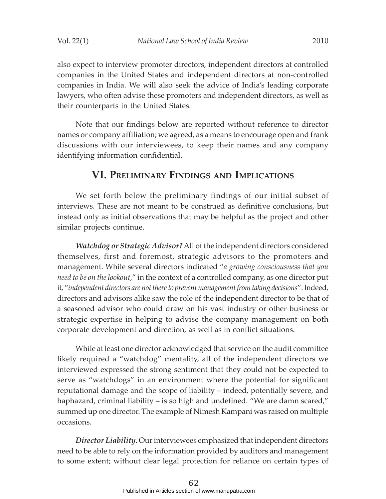also expect to interview promoter directors, independent directors at controlled companies in the United States and independent directors at non-controlled

companies in India. We will also seek the advice of India's leading corporate lawyers, who often advise these promoters and independent directors, as well as their counterparts in the United States.

Note that our findings below are reported without reference to director names or company affiliation; we agreed, as a means to encourage open and frank discussions with our interviewees, to keep their names and any company identifying information confidential.

## **VI. PRELIMINARY FINDINGS AND IMPLICATIONS**

We set forth below the preliminary findings of our initial subset of interviews. These are not meant to be construed as definitive conclusions, but instead only as initial observations that may be helpful as the project and other similar projects continue.

*Watchdog or Strategic Advisor?* All of the independent directors considered themselves, first and foremost, strategic advisors to the promoters and management. While several directors indicated "*a growing consciousness that you need to be on the lookout*," in the context of a controlled company, as one director put it, "*independent directors are not there to prevent management from taking decisions*". Indeed, directors and advisors alike saw the role of the independent director to be that of a seasoned advisor who could draw on his vast industry or other business or strategic expertise in helping to advise the company management on both corporate development and direction, as well as in conflict situations.

While at least one director acknowledged that service on the audit committee likely required a "watchdog" mentality, all of the independent directors we interviewed expressed the strong sentiment that they could not be expected to serve as "watchdogs" in an environment where the potential for significant reputational damage and the scope of liability – indeed, potentially severe, and haphazard, criminal liability – is so high and undefined. "We are damn scared," summed up one director. The example of Nimesh Kampani was raised on multiple occasions.

*Director Liability.* Our interviewees emphasized that independent directors need to be able to rely on the information provided by auditors and management to some extent; without clear legal protection for reliance on certain types of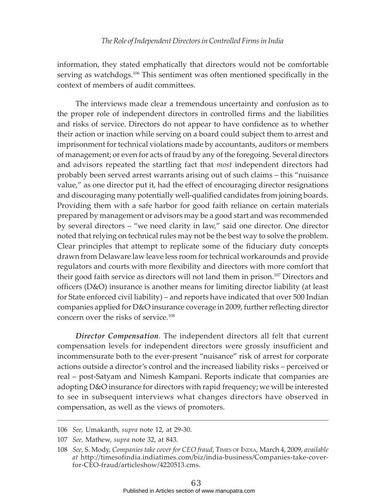information, they stated emphatically that directors would not be comfortable serving as watchdogs.<sup>106</sup> This sentiment was often mentioned specifically in the context of members of audit committees.

The interviews made clear a tremendous uncertainty and confusion as to the proper role of independent directors in controlled firms and the liabilities and risks of service. Directors do not appear to have confidence as to whether their action or inaction while serving on a board could subject them to arrest and imprisonment for technical violations made by accountants, auditors or members of management; or even for acts of fraud by any of the foregoing. Several directors and advisors repeated the startling fact that *most* independent directors had probably been served arrest warrants arising out of such claims – this "nuisance value," as one director put it, had the effect of encouraging director resignations and discouraging many potentially well-qualified candidates from joining boards. Providing them with a safe harbor for good faith reliance on certain materials prepared by management or advisors may be a good start and was recommended by several directors – "we need clarity in law," said one director. One director noted that relying on technical rules may not be the best way to solve the problem. Clear principles that attempt to replicate some of the fiduciary duty concepts drawn from Delaware law leave less room for technical workarounds and provide regulators and courts with more flexibility and directors with more comfort that their good faith service as directors will not land them in prison.107 Directors and officers (D&O) insurance is another means for limiting director liability (at least for State enforced civil liability) – and reports have indicated that over 500 Indian companies applied for D&O insurance coverage in 2009, further reflecting director concern over the risks of service.108

*Director Compensation*. The independent directors all felt that current compensation levels for independent directors were grossly insufficient and incommensurate both to the ever-present "nuisance" risk of arrest for corporate actions outside a director's control and the increased liability risks – perceived or real – post-Satyam and Nimesh Kampani. Reports indicate that companies are adopting D&O insurance for directors with rapid frequency; we will be interested to see in subsequent interviews what changes directors have observed in compensation, as well as the views of promoters.

<sup>106</sup> *See,* Umakanth, *supra* note 12, at 29-30.

<sup>107</sup> *See,* Mathew, *supra* note 32, at 843.

<sup>108</sup> *See,* S. Mody, *Companies take cover for CEO fraud*, TIMES OF INDIA, March 4, 2009, *available at* http://timesofindia.indiatimes.com/biz/india-business/Companies-take-coverfor-CEO-fraud/articleshow/4220513.cms.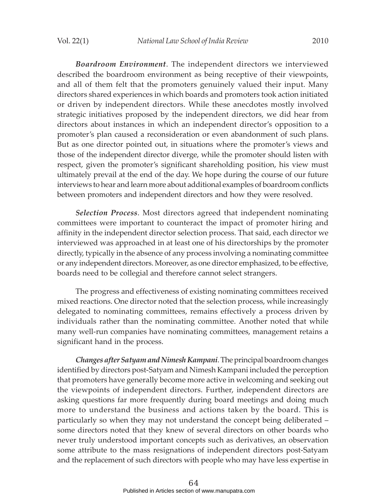*Boardroom Environment*. The independent directors we interviewed described the boardroom environment as being receptive of their viewpoints, and all of them felt that the promoters genuinely valued their input. Many directors shared experiences in which boards and promoters took action initiated or driven by independent directors. While these anecdotes mostly involved strategic initiatives proposed by the independent directors, we did hear from directors about instances in which an independent director's opposition to a promoter's plan caused a reconsideration or even abandonment of such plans. But as one director pointed out, in situations where the promoter's views and those of the independent director diverge, while the promoter should listen with respect, given the promoter's significant shareholding position, his view must ultimately prevail at the end of the day. We hope during the course of our future interviews to hear and learn more about additional examples of boardroom conflicts between promoters and independent directors and how they were resolved.

*Selection Process*. Most directors agreed that independent nominating committees were important to counteract the impact of promoter hiring and affinity in the independent director selection process. That said, each director we interviewed was approached in at least one of his directorships by the promoter directly, typically in the absence of any process involving a nominating committee or any independent directors. Moreover, as one director emphasized, to be effective, boards need to be collegial and therefore cannot select strangers.

The progress and effectiveness of existing nominating committees received mixed reactions. One director noted that the selection process, while increasingly delegated to nominating committees, remains effectively a process driven by individuals rather than the nominating committee. Another noted that while many well-run companies have nominating committees, management retains a significant hand in the process.

*Changes after Satyam and Nimesh Kampani*. The principal boardroom changes identified by directors post-Satyam and Nimesh Kampani included the perception that promoters have generally become more active in welcoming and seeking out the viewpoints of independent directors. Further, independent directors are asking questions far more frequently during board meetings and doing much more to understand the business and actions taken by the board. This is particularly so when they may not understand the concept being deliberated – some directors noted that they knew of several directors on other boards who never truly understood important concepts such as derivatives, an observation some attribute to the mass resignations of independent directors post-Satyam and the replacement of such directors with people who may have less expertise in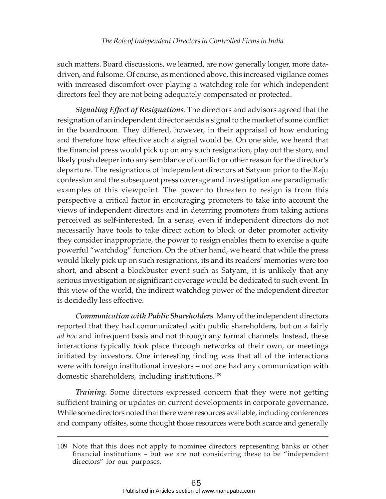such matters. Board discussions, we learned, are now generally longer, more datadriven, and fulsome. Of course, as mentioned above, this increased vigilance comes with increased discomfort over playing a watchdog role for which independent directors feel they are not being adequately compensated or protected.

*Signaling Effect of Resignations*. The directors and advisors agreed that the resignation of an independent director sends a signal to the market of some conflict in the boardroom. They differed, however, in their appraisal of how enduring and therefore how effective such a signal would be. On one side, we heard that the financial press would pick up on any such resignation, play out the story, and likely push deeper into any semblance of conflict or other reason for the director's departure. The resignations of independent directors at Satyam prior to the Raju confession and the subsequent press coverage and investigation are paradigmatic examples of this viewpoint. The power to threaten to resign is from this perspective a critical factor in encouraging promoters to take into account the views of independent directors and in deterring promoters from taking actions perceived as self-interested. In a sense, even if independent directors do not necessarily have tools to take direct action to block or deter promoter activity they consider inappropriate, the power to resign enables them to exercise a quite powerful "watchdog" function. On the other hand, we heard that while the press would likely pick up on such resignations, its and its readers' memories were too short, and absent a blockbuster event such as Satyam, it is unlikely that any serious investigation or significant coverage would be dedicated to such event. In this view of the world, the indirect watchdog power of the independent director is decidedly less effective.

*Communication with Public Shareholders*. Many of the independent directors reported that they had communicated with public shareholders, but on a fairly *ad hoc* and infrequent basis and not through any formal channels. Instead, these interactions typically took place through networks of their own, or meetings initiated by investors. One interesting finding was that all of the interactions were with foreign institutional investors – not one had any communication with domestic shareholders, including institutions.<sup>109</sup>

*Training.* Some directors expressed concern that they were not getting sufficient training or updates on current developments in corporate governance. While some directors noted that there were resources available, including conferences and company offsites, some thought those resources were both scarce and generally

<sup>109</sup> Note that this does not apply to nominee directors representing banks or other financial institutions – but we are not considering these to be "independent directors" for our purposes.